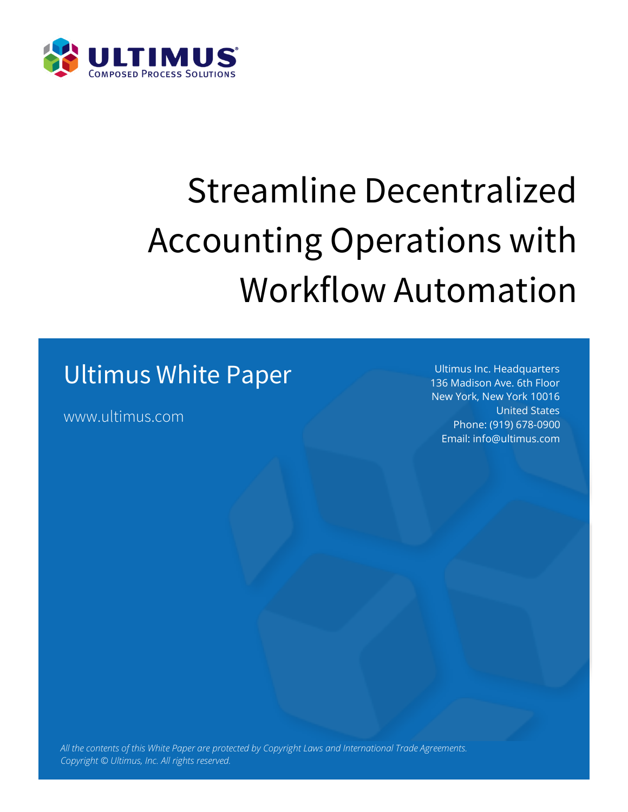

# Streamline Decentralized Accounting Operations with Workflow Automation

### Ultimus White Paper

www.ultimus.com

Ultimus Inc. Headquarters 136 Madison Ave. 6th Floor New York, New York 10016 United States Phone: (919) 678-0900 Email: info@ultimus.com

*All the contents of this White Paper are protected by Copyright Laws and International Trade Agreements. Copyright © Ultimus, Inc. All rights reserved.*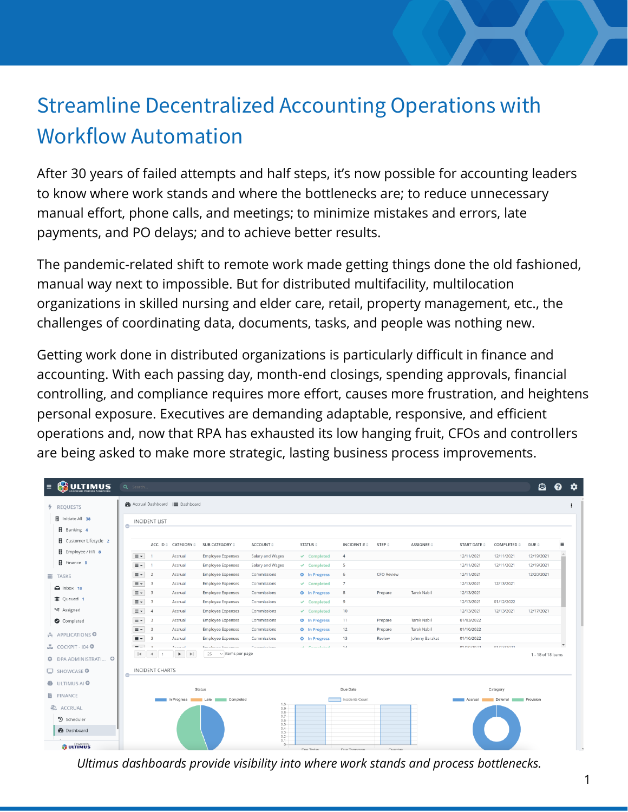### Streamline Decentralized Accounting Operations with Workflow Automation

After 30 years of failed attempts and half steps, it's now possible for accounting leaders to know where work stands and where the bottlenecks are; to reduce unnecessary manual effort, phone calls, and meetings; to minimize mistakes and errors, late payments, and PO delays; and to achieve better results.

The pandemic-related shift to remote work made getting things done the old fashioned, manual way next to impossible. But for distributed multifacility, multilocation organizations in skilled nursing and elder care, retail, property management, etc., the challenges of coordinating data, documents, tasks, and people was nothing new.

Getting work done in distributed organizations is particularly difficult in finance and accounting. With each passing day, month-end closings, spending approvals, financial controlling, and compliance requires more effort, causes more frustration, and heightens personal exposure. Executives are demanding adaptable, responsive, and efficient operations and, now that RPA has exhausted its low hanging fruit, CFOs and controllers are being asked to make more strategic, lasting business process improvements.

| <b>@</b> Accrual Dashboard <b>E</b> Dashboard<br><b>REQUESTS</b><br><b>H</b> Initiate All 38<br><b>INCIDENT LIST</b><br>o-<br>B Banking 4<br><b>El</b> Customer Lifecycle 2<br>SUB CATEGORY $\doteq$<br>ACCOUNT $\doteq$<br>STATUS $\doteq$<br>INCIDENT # $\doteq$<br>STEP $\doteq$<br>ASSIGNEE $\doteq$<br>COMPLETED $\doteqdot$<br>DUE $\doteq$<br>ACC. ID $\hat{=}$ CATEGORY $\hat{=}$<br><b>START DATE <math>\doteq</math></b><br><b>B</b> Employee / HR 8<br>12/19/2021<br>$\equiv$ $\sim$<br>Accrual<br><b>Employee Expenses</b><br>Salary and Wages<br>$\checkmark$ Completed<br>$\overline{4}$<br>12/11/2021<br>12/11/2021<br><b>H</b> Finance 8<br>$\equiv$ $\sim$<br>12/11/2021<br>12/19/2021<br><b>Employee Expenses</b><br>12/11/2021<br>Accrual<br>Salary and Wages<br>$\vee$ Completed<br>-5<br>$\equiv$ $\sim$<br><b>CFO Review</b><br>12/11/2021<br>$\overline{2}$<br><b>Employee Expenses</b><br>6<br>12/20/2021<br>Accrual<br>Commissions<br><b>O</b> In Progress<br><b>E</b> TASKS<br>$\equiv$ $\sim$<br>12/13/2021<br>12/13/2021<br>$\overline{\mathbf{3}}$<br><b>Employee Expenses</b><br>$\overline{7}$<br>Commissions<br>$\checkmark$ Completed<br>Accrual<br>$\Box$ Inbox 18<br>$\equiv$ $\sim$<br>$\overline{\mathbf{3}}$<br><b>Tarek Nabil</b><br>12/13/2021<br><b>Employee Expenses</b><br>8<br>Prepare<br>Accrual<br>Commissions<br><b>O</b> In Progress<br>Queued 1<br>$\equiv$ $\sim$<br>$\overline{\mathbf{3}}$<br>12/13/2021<br>01/12/2022<br><b>Employee Expenses</b><br>Commissions<br>$\checkmark$ Completed<br>9<br>Accrual<br><b>₹</b> Assigned<br>12/17/2021<br>$\equiv$ $\sim$<br><b>Employee Expenses</b><br>10 <sub>1</sub><br>12/13/2021<br>12/13/2021<br>$\overline{4}$<br>Accrual<br>Commissions<br>$\vee$ Completed<br>$\equiv$ $\sim$<br><b>Tarek Nabil</b><br>$\overline{\phantom{a}}$<br>Accrual<br><b>Employee Expenses</b><br>Commissions<br><b>O</b> In Progress<br>11<br>Prepare<br>01/03/2022<br>Completed<br><b>Tarek Nabil</b><br>$\equiv$ $\sim$<br><b>Employee Expenses</b><br>12<br>01/10/2022<br>$\overline{\phantom{a}}$<br>Accrual<br>Commissions<br><b>O</b> In Progress<br>Prepare<br>$\mathcal{A}$ APPLICATIONS $\mathbf{\Theta}$<br>$\equiv$ $\sim$<br>13<br>01/10/2022<br>$\overline{\mathbf{3}}$<br>Accrual<br><b>Employee Expenses</b><br><b>O</b> In Progress<br>Review<br>Johnny Barakat<br>Commissions<br>LU COCKPIT-1040<br>$= -1$<br>01/10/2022<br>0111210022<br>$\sim$<br>Accessed<br>Employee Eupopean<br>Commissions<br><b>A</b> Passistated<br>1.4<br>$25 \times$ items per page<br>$ 4$ $ $ $ $ 1<br>$\blacktriangleright$ $\blacktriangleright$<br>DPA ADMINISTRATI ©<br>431<br><b>INCIDENT CHARTS</b><br>$\Box$ SHOWCASE $\odot$<br>o-<br><b>ID</b> ULTIMUS AI <sup>O</sup><br><b>Status</b><br>Due Date<br>Category<br><b>随 FINANCE</b><br>Incidents Count<br>In Progress Late Late Completed<br>Deferral Provision<br>Accrual III<br>$^{1.0}_{0.9}$<br>ACCRUAL<br>0.8<br>0.7<br><sup>5</sup> Scheduler<br>0.6<br>0.5<br>$^{0.4}_{0.3}$<br><b>@</b> Dashboard | <b>ULTIMUS</b><br>$\equiv$ | Q Search. |  |  |  |  | e                  | ค        |  |
|------------------------------------------------------------------------------------------------------------------------------------------------------------------------------------------------------------------------------------------------------------------------------------------------------------------------------------------------------------------------------------------------------------------------------------------------------------------------------------------------------------------------------------------------------------------------------------------------------------------------------------------------------------------------------------------------------------------------------------------------------------------------------------------------------------------------------------------------------------------------------------------------------------------------------------------------------------------------------------------------------------------------------------------------------------------------------------------------------------------------------------------------------------------------------------------------------------------------------------------------------------------------------------------------------------------------------------------------------------------------------------------------------------------------------------------------------------------------------------------------------------------------------------------------------------------------------------------------------------------------------------------------------------------------------------------------------------------------------------------------------------------------------------------------------------------------------------------------------------------------------------------------------------------------------------------------------------------------------------------------------------------------------------------------------------------------------------------------------------------------------------------------------------------------------------------------------------------------------------------------------------------------------------------------------------------------------------------------------------------------------------------------------------------------------------------------------------------------------------------------------------------------------------------------------------------------------------------------------------------------------------------------------------------------------------------------------------------------------------------------------------------------------------------------------------------------------------------------------------------------------------------------------------------------------------------------------------------------------------------------------------------------------------------------|----------------------------|-----------|--|--|--|--|--------------------|----------|--|
|                                                                                                                                                                                                                                                                                                                                                                                                                                                                                                                                                                                                                                                                                                                                                                                                                                                                                                                                                                                                                                                                                                                                                                                                                                                                                                                                                                                                                                                                                                                                                                                                                                                                                                                                                                                                                                                                                                                                                                                                                                                                                                                                                                                                                                                                                                                                                                                                                                                                                                                                                                                                                                                                                                                                                                                                                                                                                                                                                                                                                                                |                            |           |  |  |  |  |                    |          |  |
|                                                                                                                                                                                                                                                                                                                                                                                                                                                                                                                                                                                                                                                                                                                                                                                                                                                                                                                                                                                                                                                                                                                                                                                                                                                                                                                                                                                                                                                                                                                                                                                                                                                                                                                                                                                                                                                                                                                                                                                                                                                                                                                                                                                                                                                                                                                                                                                                                                                                                                                                                                                                                                                                                                                                                                                                                                                                                                                                                                                                                                                |                            |           |  |  |  |  |                    |          |  |
|                                                                                                                                                                                                                                                                                                                                                                                                                                                                                                                                                                                                                                                                                                                                                                                                                                                                                                                                                                                                                                                                                                                                                                                                                                                                                                                                                                                                                                                                                                                                                                                                                                                                                                                                                                                                                                                                                                                                                                                                                                                                                                                                                                                                                                                                                                                                                                                                                                                                                                                                                                                                                                                                                                                                                                                                                                                                                                                                                                                                                                                |                            |           |  |  |  |  |                    |          |  |
|                                                                                                                                                                                                                                                                                                                                                                                                                                                                                                                                                                                                                                                                                                                                                                                                                                                                                                                                                                                                                                                                                                                                                                                                                                                                                                                                                                                                                                                                                                                                                                                                                                                                                                                                                                                                                                                                                                                                                                                                                                                                                                                                                                                                                                                                                                                                                                                                                                                                                                                                                                                                                                                                                                                                                                                                                                                                                                                                                                                                                                                |                            |           |  |  |  |  |                    | $\equiv$ |  |
|                                                                                                                                                                                                                                                                                                                                                                                                                                                                                                                                                                                                                                                                                                                                                                                                                                                                                                                                                                                                                                                                                                                                                                                                                                                                                                                                                                                                                                                                                                                                                                                                                                                                                                                                                                                                                                                                                                                                                                                                                                                                                                                                                                                                                                                                                                                                                                                                                                                                                                                                                                                                                                                                                                                                                                                                                                                                                                                                                                                                                                                |                            |           |  |  |  |  |                    | $\Delta$ |  |
|                                                                                                                                                                                                                                                                                                                                                                                                                                                                                                                                                                                                                                                                                                                                                                                                                                                                                                                                                                                                                                                                                                                                                                                                                                                                                                                                                                                                                                                                                                                                                                                                                                                                                                                                                                                                                                                                                                                                                                                                                                                                                                                                                                                                                                                                                                                                                                                                                                                                                                                                                                                                                                                                                                                                                                                                                                                                                                                                                                                                                                                |                            |           |  |  |  |  |                    | ۰        |  |
|                                                                                                                                                                                                                                                                                                                                                                                                                                                                                                                                                                                                                                                                                                                                                                                                                                                                                                                                                                                                                                                                                                                                                                                                                                                                                                                                                                                                                                                                                                                                                                                                                                                                                                                                                                                                                                                                                                                                                                                                                                                                                                                                                                                                                                                                                                                                                                                                                                                                                                                                                                                                                                                                                                                                                                                                                                                                                                                                                                                                                                                |                            |           |  |  |  |  |                    |          |  |
|                                                                                                                                                                                                                                                                                                                                                                                                                                                                                                                                                                                                                                                                                                                                                                                                                                                                                                                                                                                                                                                                                                                                                                                                                                                                                                                                                                                                                                                                                                                                                                                                                                                                                                                                                                                                                                                                                                                                                                                                                                                                                                                                                                                                                                                                                                                                                                                                                                                                                                                                                                                                                                                                                                                                                                                                                                                                                                                                                                                                                                                |                            |           |  |  |  |  |                    |          |  |
|                                                                                                                                                                                                                                                                                                                                                                                                                                                                                                                                                                                                                                                                                                                                                                                                                                                                                                                                                                                                                                                                                                                                                                                                                                                                                                                                                                                                                                                                                                                                                                                                                                                                                                                                                                                                                                                                                                                                                                                                                                                                                                                                                                                                                                                                                                                                                                                                                                                                                                                                                                                                                                                                                                                                                                                                                                                                                                                                                                                                                                                |                            |           |  |  |  |  |                    |          |  |
|                                                                                                                                                                                                                                                                                                                                                                                                                                                                                                                                                                                                                                                                                                                                                                                                                                                                                                                                                                                                                                                                                                                                                                                                                                                                                                                                                                                                                                                                                                                                                                                                                                                                                                                                                                                                                                                                                                                                                                                                                                                                                                                                                                                                                                                                                                                                                                                                                                                                                                                                                                                                                                                                                                                                                                                                                                                                                                                                                                                                                                                |                            |           |  |  |  |  |                    |          |  |
|                                                                                                                                                                                                                                                                                                                                                                                                                                                                                                                                                                                                                                                                                                                                                                                                                                                                                                                                                                                                                                                                                                                                                                                                                                                                                                                                                                                                                                                                                                                                                                                                                                                                                                                                                                                                                                                                                                                                                                                                                                                                                                                                                                                                                                                                                                                                                                                                                                                                                                                                                                                                                                                                                                                                                                                                                                                                                                                                                                                                                                                |                            |           |  |  |  |  |                    |          |  |
|                                                                                                                                                                                                                                                                                                                                                                                                                                                                                                                                                                                                                                                                                                                                                                                                                                                                                                                                                                                                                                                                                                                                                                                                                                                                                                                                                                                                                                                                                                                                                                                                                                                                                                                                                                                                                                                                                                                                                                                                                                                                                                                                                                                                                                                                                                                                                                                                                                                                                                                                                                                                                                                                                                                                                                                                                                                                                                                                                                                                                                                |                            |           |  |  |  |  |                    |          |  |
|                                                                                                                                                                                                                                                                                                                                                                                                                                                                                                                                                                                                                                                                                                                                                                                                                                                                                                                                                                                                                                                                                                                                                                                                                                                                                                                                                                                                                                                                                                                                                                                                                                                                                                                                                                                                                                                                                                                                                                                                                                                                                                                                                                                                                                                                                                                                                                                                                                                                                                                                                                                                                                                                                                                                                                                                                                                                                                                                                                                                                                                |                            |           |  |  |  |  |                    |          |  |
|                                                                                                                                                                                                                                                                                                                                                                                                                                                                                                                                                                                                                                                                                                                                                                                                                                                                                                                                                                                                                                                                                                                                                                                                                                                                                                                                                                                                                                                                                                                                                                                                                                                                                                                                                                                                                                                                                                                                                                                                                                                                                                                                                                                                                                                                                                                                                                                                                                                                                                                                                                                                                                                                                                                                                                                                                                                                                                                                                                                                                                                |                            |           |  |  |  |  |                    |          |  |
|                                                                                                                                                                                                                                                                                                                                                                                                                                                                                                                                                                                                                                                                                                                                                                                                                                                                                                                                                                                                                                                                                                                                                                                                                                                                                                                                                                                                                                                                                                                                                                                                                                                                                                                                                                                                                                                                                                                                                                                                                                                                                                                                                                                                                                                                                                                                                                                                                                                                                                                                                                                                                                                                                                                                                                                                                                                                                                                                                                                                                                                |                            |           |  |  |  |  |                    |          |  |
|                                                                                                                                                                                                                                                                                                                                                                                                                                                                                                                                                                                                                                                                                                                                                                                                                                                                                                                                                                                                                                                                                                                                                                                                                                                                                                                                                                                                                                                                                                                                                                                                                                                                                                                                                                                                                                                                                                                                                                                                                                                                                                                                                                                                                                                                                                                                                                                                                                                                                                                                                                                                                                                                                                                                                                                                                                                                                                                                                                                                                                                |                            |           |  |  |  |  | 1 - 18 of 18 items |          |  |
|                                                                                                                                                                                                                                                                                                                                                                                                                                                                                                                                                                                                                                                                                                                                                                                                                                                                                                                                                                                                                                                                                                                                                                                                                                                                                                                                                                                                                                                                                                                                                                                                                                                                                                                                                                                                                                                                                                                                                                                                                                                                                                                                                                                                                                                                                                                                                                                                                                                                                                                                                                                                                                                                                                                                                                                                                                                                                                                                                                                                                                                |                            |           |  |  |  |  |                    |          |  |
|                                                                                                                                                                                                                                                                                                                                                                                                                                                                                                                                                                                                                                                                                                                                                                                                                                                                                                                                                                                                                                                                                                                                                                                                                                                                                                                                                                                                                                                                                                                                                                                                                                                                                                                                                                                                                                                                                                                                                                                                                                                                                                                                                                                                                                                                                                                                                                                                                                                                                                                                                                                                                                                                                                                                                                                                                                                                                                                                                                                                                                                |                            |           |  |  |  |  |                    |          |  |
|                                                                                                                                                                                                                                                                                                                                                                                                                                                                                                                                                                                                                                                                                                                                                                                                                                                                                                                                                                                                                                                                                                                                                                                                                                                                                                                                                                                                                                                                                                                                                                                                                                                                                                                                                                                                                                                                                                                                                                                                                                                                                                                                                                                                                                                                                                                                                                                                                                                                                                                                                                                                                                                                                                                                                                                                                                                                                                                                                                                                                                                |                            |           |  |  |  |  |                    |          |  |
|                                                                                                                                                                                                                                                                                                                                                                                                                                                                                                                                                                                                                                                                                                                                                                                                                                                                                                                                                                                                                                                                                                                                                                                                                                                                                                                                                                                                                                                                                                                                                                                                                                                                                                                                                                                                                                                                                                                                                                                                                                                                                                                                                                                                                                                                                                                                                                                                                                                                                                                                                                                                                                                                                                                                                                                                                                                                                                                                                                                                                                                |                            |           |  |  |  |  |                    |          |  |
|                                                                                                                                                                                                                                                                                                                                                                                                                                                                                                                                                                                                                                                                                                                                                                                                                                                                                                                                                                                                                                                                                                                                                                                                                                                                                                                                                                                                                                                                                                                                                                                                                                                                                                                                                                                                                                                                                                                                                                                                                                                                                                                                                                                                                                                                                                                                                                                                                                                                                                                                                                                                                                                                                                                                                                                                                                                                                                                                                                                                                                                |                            |           |  |  |  |  |                    |          |  |
|                                                                                                                                                                                                                                                                                                                                                                                                                                                                                                                                                                                                                                                                                                                                                                                                                                                                                                                                                                                                                                                                                                                                                                                                                                                                                                                                                                                                                                                                                                                                                                                                                                                                                                                                                                                                                                                                                                                                                                                                                                                                                                                                                                                                                                                                                                                                                                                                                                                                                                                                                                                                                                                                                                                                                                                                                                                                                                                                                                                                                                                |                            |           |  |  |  |  |                    |          |  |
| $0.2 -$                                                                                                                                                                                                                                                                                                                                                                                                                                                                                                                                                                                                                                                                                                                                                                                                                                                                                                                                                                                                                                                                                                                                                                                                                                                                                                                                                                                                                                                                                                                                                                                                                                                                                                                                                                                                                                                                                                                                                                                                                                                                                                                                                                                                                                                                                                                                                                                                                                                                                                                                                                                                                                                                                                                                                                                                                                                                                                                                                                                                                                        |                            |           |  |  |  |  |                    |          |  |
| 0.1<br><b>&amp; ULTIMUS</b><br>$0-$                                                                                                                                                                                                                                                                                                                                                                                                                                                                                                                                                                                                                                                                                                                                                                                                                                                                                                                                                                                                                                                                                                                                                                                                                                                                                                                                                                                                                                                                                                                                                                                                                                                                                                                                                                                                                                                                                                                                                                                                                                                                                                                                                                                                                                                                                                                                                                                                                                                                                                                                                                                                                                                                                                                                                                                                                                                                                                                                                                                                            |                            |           |  |  |  |  |                    |          |  |

*Ultimus dashboards provide visibility into where work stands and process bottlenecks.*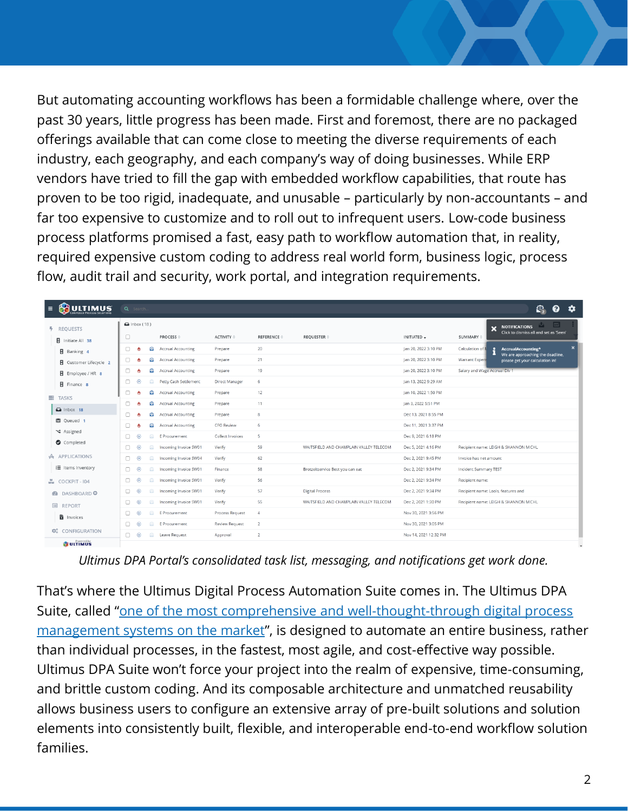But automating accounting workflows has been a formidable challenge where, over the past 30 years, little progress has been made. First and foremost, there are no packaged offerings available that can come close to meeting the diverse requirements of each industry, each geography, and each company's way of doing businesses. While ERP vendors have tried to fill the gap with embedded workflow capabilities, that route has proven to be too rigid, inadequate, and unusable – particularly by non-accountants – and far too expensive to customize and to roll out to infrequent users. Low-code business process platforms promised a fast, easy path to workflow automation that, in reality, required expensive custom coding to address real world form, business logic, process flow, audit trail and security, work portal, and integration requirements.

| <b>ULTIMUS</b><br>$\equiv$<br><b>COMPOSED PROCESS SOLUTIONS</b> | Q Search.                                                                                                       |                                              |                       |                                                                   |                                               | $\bullet$<br>$\bullet$<br>О.                                                                                           |
|-----------------------------------------------------------------|-----------------------------------------------------------------------------------------------------------------|----------------------------------------------|-----------------------|-------------------------------------------------------------------|-----------------------------------------------|------------------------------------------------------------------------------------------------------------------------|
| <b>F</b> REQUESTS                                               | $\bigcirc$ Inbox (18)<br>$\Box$<br><b>PROCESS</b> $\triangleq$                                                  | <b>ACTIVITY</b> $\oplus$                     | REFERENCE $\doteqdot$ | REQUESTER $\doteq$                                                | INITIATED -                                   | $\sim$<br>A.<br><b>NOTIFICATIONS</b><br>$\overline{\mathbf{x}}$<br>Click to dismiss all and set as 'Seen'<br>SUMMARY # |
| <b>B</b> Initiate All 38<br>B Banking 4                         | <b>Accrual Accounting</b><br>0<br>8<br>-6                                                                       | Prepare                                      | 20                    |                                                                   | Jan 20, 2022 3:10 PM                          | $\mathbf x$<br>Calculation of<br>÷<br>AccrualAccounting*<br>We are approaching the deadline,                           |
| <b>E</b> Customer Lifecycle 2                                   | €<br><b>Accrual Accounting</b><br>$\Box$<br>-6<br>a<br><b>Accrual Accounting</b><br>$\Box$<br>- Ô               | Prepare<br>Prepare                           | 21<br>19              |                                                                   | Jan 20, 2022 3:10 PM<br>Jan 20, 2022 3:10 PM  | Warrant Expens<br>please get your calculation in!<br>Salary and Wage Accrual Div 1                                     |
| Employee / HR 8<br>Finance 8                                    | Petty Cash Settlement<br>$\Box$<br>$\circledcirc$<br>8                                                          | <b>Direct Manager</b>                        | 6                     |                                                                   | Jan 13, 2022 9:29 AM                          |                                                                                                                        |
| <b>E</b> TASKS                                                  | $\Box$<br>۰<br><b>Accrual Accounting</b><br><b>A</b><br>$\Box$<br>۵<br><b>Accrual Accounting</b><br><b>A</b>    | Prepare<br>Prepare                           | 12<br>11              |                                                                   | Jan 10, 2022 1:50 PM<br>Jan 3, 2022 5:51 PM   |                                                                                                                        |
| $\bigcirc$ Inbox 18<br>© Queued 1                               | ۸<br>$\Box$<br><b>Accrual Accounting</b><br><b>A</b>                                                            | Prepare                                      | 8                     |                                                                   | Dec 13, 2021 8:55 PM                          |                                                                                                                        |
| <b>√</b> Assigned                                               | ۵<br>$\Box$<br><b>Accrual Accounting</b><br><b>A</b><br>⊕<br>$\Box$<br>$\circledcirc$<br>E Procurement          | <b>CFO Review</b><br><b>Collect Invoices</b> | 6<br>5                |                                                                   | Dec 11, 2021 3:37 PM<br>Dec 9, 2021 6:18 PM   |                                                                                                                        |
| Completed<br>A APPLICATIONS                                     | $\Box$<br>$\circledcirc$<br>Incoming Invoice SW01<br>a.                                                         | Verify                                       | 59                    | WAITSFIELD AND CHAMPLAIN VALLEY TELECOM                           | Dec 5, 2021 4:16 PM                           | Recipient name: LEIGH & SHANNON MICHL                                                                                  |
| <b>三</b> Items Inventory                                        | $\Box$<br>$\circledcirc$<br>a<br>Incoming Invoice SW04<br>Incoming Invoice SW01<br>$\Box$<br>$\circ$<br>$\circ$ | Verify<br>Finance                            | 62<br>58              | Brotzeitservice Best you can eat                                  | Dec 2, 2021 9:45 PM<br>Dec 2, 2021 9:34 PM    | Invoice has net amount<br><b>Incident Summary TEST</b>                                                                 |
| M COCKPIT - 104                                                 | $\Box$<br>$\circledcirc$<br>€<br>Incoming Invoice SW01                                                          | Verify                                       | 56                    |                                                                   | Dec 2, 2021 9:34 PM                           | Recipient name:                                                                                                        |
| <b><i>C</i></b> DASHBOARD <b>O</b><br>$\equiv$<br>REPORT        | Incoming Invoice SW01<br>$\Box$<br>$\circledcirc$<br>a<br>$\circledcirc$<br>Incoming Invoice SW01<br>$\Box$     | Verify<br>Verify                             | 57<br>55              | <b>Digital Process</b><br>WAITSFIELD AND CHAMPLAIN VALLEY TELECOM | Dec 2, 2021 9:34 PM<br>Dec 2, 2021 1:30 PM    | Recipient name: Lools, features and<br>Recipient name: LEIGH & SHANNON MICHL                                           |
| <b>b</b> Invoices                                               | $\circledcirc$<br>$\qquad \qquad \oplus$<br>$\Box$<br>E Procurement                                             | Process Request                              | $\overline{4}$        |                                                                   | Nov 30, 2021 3:56 PM                          |                                                                                                                        |
| O.<br>CONFIGURATION                                             | $\Box$<br>$\circledcirc$<br>⊜<br>E Procurement<br>$\Box$<br>◉<br><b>E</b> Leave Request                         | <b>Review Request</b><br>Approval            | $\overline{2}$<br>2   |                                                                   | Nov 30, 2021 3:05 PM<br>Nov 14, 2021 12:32 PM |                                                                                                                        |
| <b><sup>Powered by</sup></b>                                    |                                                                                                                 |                                              |                       |                                                                   |                                               |                                                                                                                        |

*Ultimus DPA Portal's consolidated task list, messaging, and notifications get work done.*

That's where the Ultimus Digital Process Automation Suite comes in. The Ultimus DPA Suite, called "one of the most comprehensive and well-thought-through digital process [management systems on the market](https://www.ultimus.com/hubfs/docs/Analyst-Reports/Deep%20Analysis%20Ultimus%20Vignette.pdf)", is designed to automate an entire business, rather than individual processes, in the fastest, most agile, and cost-effective way possible. Ultimus DPA Suite won't force your project into the realm of expensive, time-consuming, and brittle custom coding. And its composable architecture and unmatched reusability allows business users to configure an extensive array of pre-built solutions and solution elements into consistently built, flexible, and interoperable end-to-end workflow solution families.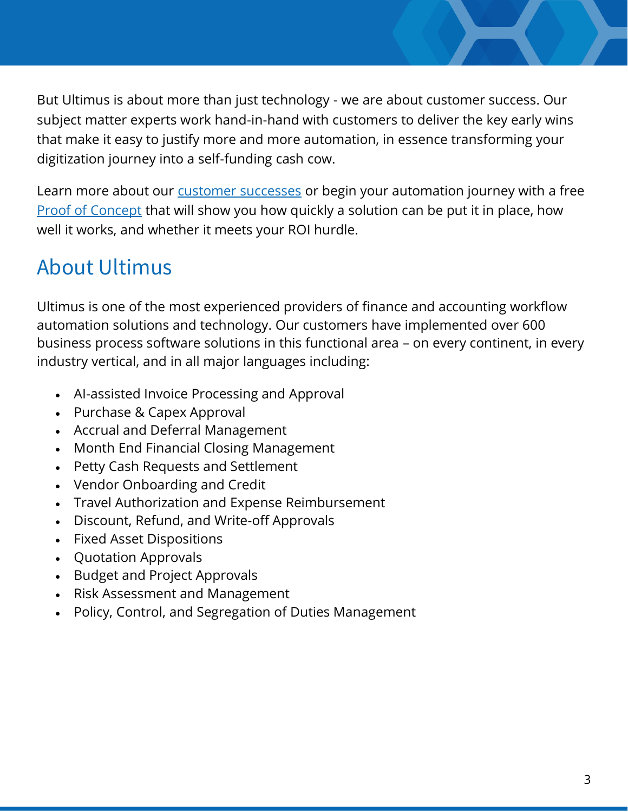But Ultimus is about more than just technology - we are about customer success. Our subject matter experts work hand-in-hand with customers to deliver the key early wins that make it easy to justify more and more automation, in essence transforming your digitization journey into a self-funding cash cow.

Learn more about our [customer successes](https://www.ultimus.com/results-case-studies) or begin your automation journey with a free [Proof of Concept](https://www.ultimus.com/demo) that will show you how quickly a solution can be put it in place, how well it works, and whether it meets your ROI hurdle.

### About Ultimus

Ultimus is one of the most experienced providers of finance and accounting workflow automation solutions and technology. Our customers have implemented over 600 business process software solutions in this functional area – on every continent, in every industry vertical, and in all major languages including:

- AI-assisted Invoice Processing and Approval
- Purchase & Capex Approval
- Accrual and Deferral Management
- Month End Financial Closing Management
- Petty Cash Requests and Settlement
- Vendor Onboarding and Credit
- Travel Authorization and Expense Reimbursement
- Discount, Refund, and Write-off Approvals
- Fixed Asset Dispositions
- Quotation Approvals
- Budget and Project Approvals
- Risk Assessment and Management
- Policy, Control, and Segregation of Duties Management